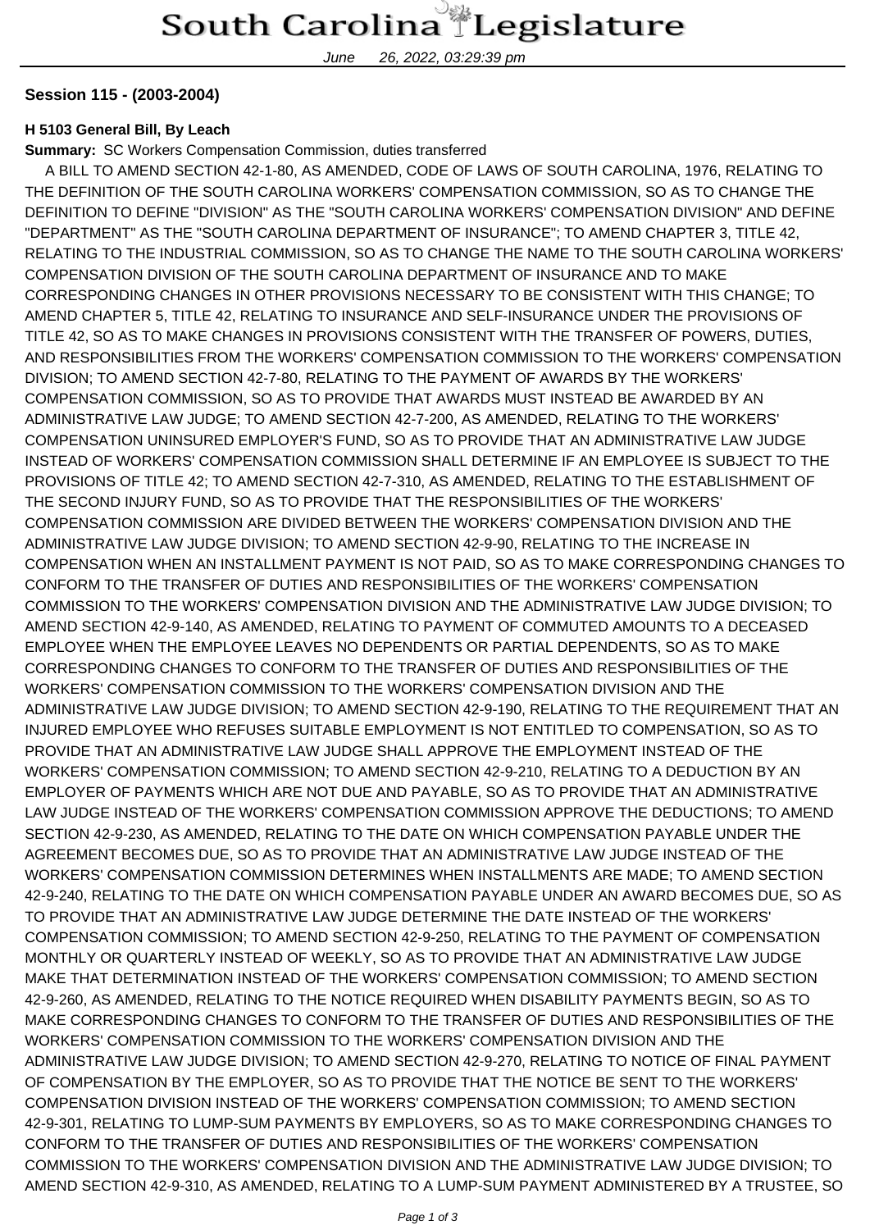June 26, 2022, 03:29:39 pm

## **Session 115 - (2003-2004)**

## **H 5103 General Bill, By Leach**

**Summary:** SC Workers Compensation Commission, duties transferred

 A BILL TO AMEND SECTION 42-1-80, AS AMENDED, CODE OF LAWS OF SOUTH CAROLINA, 1976, RELATING TO THE DEFINITION OF THE SOUTH CAROLINA WORKERS' COMPENSATION COMMISSION, SO AS TO CHANGE THE DEFINITION TO DEFINE "DIVISION" AS THE "SOUTH CAROLINA WORKERS' COMPENSATION DIVISION" AND DEFINE "DEPARTMENT" AS THE "SOUTH CAROLINA DEPARTMENT OF INSURANCE"; TO AMEND CHAPTER 3, TITLE 42, RELATING TO THE INDUSTRIAL COMMISSION, SO AS TO CHANGE THE NAME TO THE SOUTH CAROLINA WORKERS' COMPENSATION DIVISION OF THE SOUTH CAROLINA DEPARTMENT OF INSURANCE AND TO MAKE CORRESPONDING CHANGES IN OTHER PROVISIONS NECESSARY TO BE CONSISTENT WITH THIS CHANGE; TO AMEND CHAPTER 5, TITLE 42, RELATING TO INSURANCE AND SELF-INSURANCE UNDER THE PROVISIONS OF TITLE 42, SO AS TO MAKE CHANGES IN PROVISIONS CONSISTENT WITH THE TRANSFER OF POWERS, DUTIES, AND RESPONSIBILITIES FROM THE WORKERS' COMPENSATION COMMISSION TO THE WORKERS' COMPENSATION DIVISION; TO AMEND SECTION 42-7-80, RELATING TO THE PAYMENT OF AWARDS BY THE WORKERS' COMPENSATION COMMISSION, SO AS TO PROVIDE THAT AWARDS MUST INSTEAD BE AWARDED BY AN ADMINISTRATIVE LAW JUDGE; TO AMEND SECTION 42-7-200, AS AMENDED, RELATING TO THE WORKERS' COMPENSATION UNINSURED EMPLOYER'S FUND, SO AS TO PROVIDE THAT AN ADMINISTRATIVE LAW JUDGE INSTEAD OF WORKERS' COMPENSATION COMMISSION SHALL DETERMINE IF AN EMPLOYEE IS SUBJECT TO THE PROVISIONS OF TITLE 42; TO AMEND SECTION 42-7-310, AS AMENDED, RELATING TO THE ESTABLISHMENT OF THE SECOND INJURY FUND, SO AS TO PROVIDE THAT THE RESPONSIBILITIES OF THE WORKERS' COMPENSATION COMMISSION ARE DIVIDED BETWEEN THE WORKERS' COMPENSATION DIVISION AND THE ADMINISTRATIVE LAW JUDGE DIVISION; TO AMEND SECTION 42-9-90, RELATING TO THE INCREASE IN COMPENSATION WHEN AN INSTALLMENT PAYMENT IS NOT PAID, SO AS TO MAKE CORRESPONDING CHANGES TO CONFORM TO THE TRANSFER OF DUTIES AND RESPONSIBILITIES OF THE WORKERS' COMPENSATION COMMISSION TO THE WORKERS' COMPENSATION DIVISION AND THE ADMINISTRATIVE LAW JUDGE DIVISION; TO AMEND SECTION 42-9-140, AS AMENDED, RELATING TO PAYMENT OF COMMUTED AMOUNTS TO A DECEASED EMPLOYEE WHEN THE EMPLOYEE LEAVES NO DEPENDENTS OR PARTIAL DEPENDENTS, SO AS TO MAKE CORRESPONDING CHANGES TO CONFORM TO THE TRANSFER OF DUTIES AND RESPONSIBILITIES OF THE WORKERS' COMPENSATION COMMISSION TO THE WORKERS' COMPENSATION DIVISION AND THE ADMINISTRATIVE LAW JUDGE DIVISION; TO AMEND SECTION 42-9-190, RELATING TO THE REQUIREMENT THAT AN INJURED EMPLOYEE WHO REFUSES SUITABLE EMPLOYMENT IS NOT ENTITLED TO COMPENSATION, SO AS TO PROVIDE THAT AN ADMINISTRATIVE LAW JUDGE SHALL APPROVE THE EMPLOYMENT INSTEAD OF THE WORKERS' COMPENSATION COMMISSION; TO AMEND SECTION 42-9-210, RELATING TO A DEDUCTION BY AN EMPLOYER OF PAYMENTS WHICH ARE NOT DUE AND PAYABLE, SO AS TO PROVIDE THAT AN ADMINISTRATIVE LAW JUDGE INSTEAD OF THE WORKERS' COMPENSATION COMMISSION APPROVE THE DEDUCTIONS; TO AMEND SECTION 42-9-230, AS AMENDED, RELATING TO THE DATE ON WHICH COMPENSATION PAYABLE UNDER THE AGREEMENT BECOMES DUE, SO AS TO PROVIDE THAT AN ADMINISTRATIVE LAW JUDGE INSTEAD OF THE WORKERS' COMPENSATION COMMISSION DETERMINES WHEN INSTALLMENTS ARE MADE; TO AMEND SECTION 42-9-240, RELATING TO THE DATE ON WHICH COMPENSATION PAYABLE UNDER AN AWARD BECOMES DUE, SO AS TO PROVIDE THAT AN ADMINISTRATIVE LAW JUDGE DETERMINE THE DATE INSTEAD OF THE WORKERS' COMPENSATION COMMISSION; TO AMEND SECTION 42-9-250, RELATING TO THE PAYMENT OF COMPENSATION MONTHLY OR QUARTERLY INSTEAD OF WEEKLY, SO AS TO PROVIDE THAT AN ADMINISTRATIVE LAW JUDGE MAKE THAT DETERMINATION INSTEAD OF THE WORKERS' COMPENSATION COMMISSION; TO AMEND SECTION 42-9-260, AS AMENDED, RELATING TO THE NOTICE REQUIRED WHEN DISABILITY PAYMENTS BEGIN, SO AS TO MAKE CORRESPONDING CHANGES TO CONFORM TO THE TRANSFER OF DUTIES AND RESPONSIBILITIES OF THE WORKERS' COMPENSATION COMMISSION TO THE WORKERS' COMPENSATION DIVISION AND THE ADMINISTRATIVE LAW JUDGE DIVISION; TO AMEND SECTION 42-9-270, RELATING TO NOTICE OF FINAL PAYMENT OF COMPENSATION BY THE EMPLOYER, SO AS TO PROVIDE THAT THE NOTICE BE SENT TO THE WORKERS' COMPENSATION DIVISION INSTEAD OF THE WORKERS' COMPENSATION COMMISSION; TO AMEND SECTION 42-9-301, RELATING TO LUMP-SUM PAYMENTS BY EMPLOYERS, SO AS TO MAKE CORRESPONDING CHANGES TO CONFORM TO THE TRANSFER OF DUTIES AND RESPONSIBILITIES OF THE WORKERS' COMPENSATION COMMISSION TO THE WORKERS' COMPENSATION DIVISION AND THE ADMINISTRATIVE LAW JUDGE DIVISION; TO AMEND SECTION 42-9-310, AS AMENDED, RELATING TO A LUMP-SUM PAYMENT ADMINISTERED BY A TRUSTEE, SO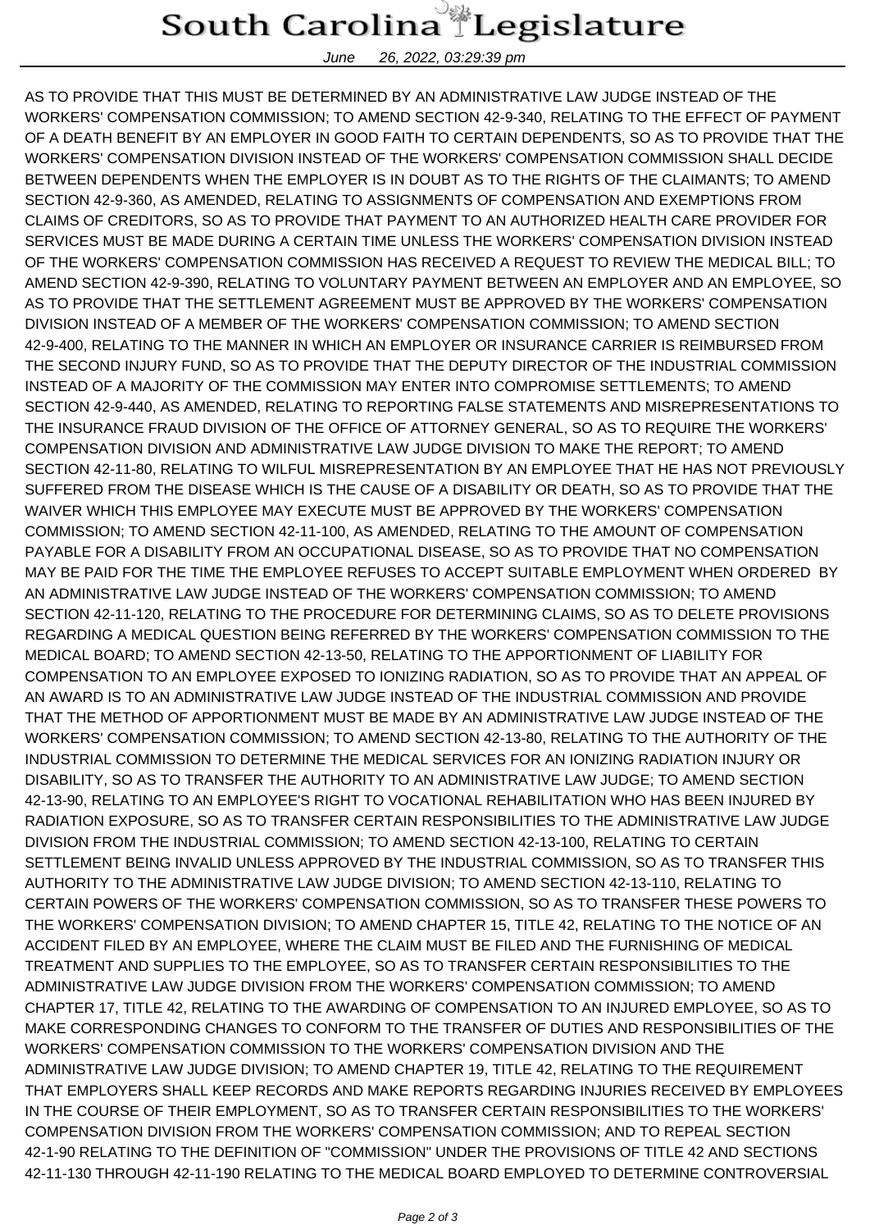## South Carolina Legislature

June 26, 2022, 03:29:39 pm

AS TO PROVIDE THAT THIS MUST BE DETERMINED BY AN ADMINISTRATIVE LAW JUDGE INSTEAD OF THE WORKERS' COMPENSATION COMMISSION; TO AMEND SECTION 42-9-340, RELATING TO THE EFFECT OF PAYMENT OF A DEATH BENEFIT BY AN EMPLOYER IN GOOD FAITH TO CERTAIN DEPENDENTS, SO AS TO PROVIDE THAT THE WORKERS' COMPENSATION DIVISION INSTEAD OF THE WORKERS' COMPENSATION COMMISSION SHALL DECIDE BETWEEN DEPENDENTS WHEN THE EMPLOYER IS IN DOUBT AS TO THE RIGHTS OF THE CLAIMANTS; TO AMEND SECTION 42-9-360, AS AMENDED, RELATING TO ASSIGNMENTS OF COMPENSATION AND EXEMPTIONS FROM CLAIMS OF CREDITORS, SO AS TO PROVIDE THAT PAYMENT TO AN AUTHORIZED HEALTH CARE PROVIDER FOR SERVICES MUST BE MADE DURING A CERTAIN TIME UNLESS THE WORKERS' COMPENSATION DIVISION INSTEAD OF THE WORKERS' COMPENSATION COMMISSION HAS RECEIVED A REQUEST TO REVIEW THE MEDICAL BILL; TO AMEND SECTION 42-9-390, RELATING TO VOLUNTARY PAYMENT BETWEEN AN EMPLOYER AND AN EMPLOYEE, SO AS TO PROVIDE THAT THE SETTLEMENT AGREEMENT MUST BE APPROVED BY THE WORKERS' COMPENSATION DIVISION INSTEAD OF A MEMBER OF THE WORKERS' COMPENSATION COMMISSION; TO AMEND SECTION 42-9-400, RELATING TO THE MANNER IN WHICH AN EMPLOYER OR INSURANCE CARRIER IS REIMBURSED FROM THE SECOND INJURY FUND, SO AS TO PROVIDE THAT THE DEPUTY DIRECTOR OF THE INDUSTRIAL COMMISSION INSTEAD OF A MAJORITY OF THE COMMISSION MAY ENTER INTO COMPROMISE SETTLEMENTS; TO AMEND SECTION 42-9-440, AS AMENDED, RELATING TO REPORTING FALSE STATEMENTS AND MISREPRESENTATIONS TO THE INSURANCE FRAUD DIVISION OF THE OFFICE OF ATTORNEY GENERAL, SO AS TO REQUIRE THE WORKERS' COMPENSATION DIVISION AND ADMINISTRATIVE LAW JUDGE DIVISION TO MAKE THE REPORT; TO AMEND SECTION 42-11-80, RELATING TO WILFUL MISREPRESENTATION BY AN EMPLOYEE THAT HE HAS NOT PREVIOUSLY SUFFERED FROM THE DISEASE WHICH IS THE CAUSE OF A DISABILITY OR DEATH, SO AS TO PROVIDE THAT THE WAIVER WHICH THIS EMPLOYEE MAY EXECUTE MUST BE APPROVED BY THE WORKERS' COMPENSATION COMMISSION; TO AMEND SECTION 42-11-100, AS AMENDED, RELATING TO THE AMOUNT OF COMPENSATION PAYABLE FOR A DISABILITY FROM AN OCCUPATIONAL DISEASE, SO AS TO PROVIDE THAT NO COMPENSATION MAY BE PAID FOR THE TIME THE EMPLOYEE REFUSES TO ACCEPT SUITABLE EMPLOYMENT WHEN ORDERED BY AN ADMINISTRATIVE LAW JUDGE INSTEAD OF THE WORKERS' COMPENSATION COMMISSION; TO AMEND SECTION 42-11-120, RELATING TO THE PROCEDURE FOR DETERMINING CLAIMS, SO AS TO DELETE PROVISIONS REGARDING A MEDICAL QUESTION BEING REFERRED BY THE WORKERS' COMPENSATION COMMISSION TO THE MEDICAL BOARD; TO AMEND SECTION 42-13-50, RELATING TO THE APPORTIONMENT OF LIABILITY FOR COMPENSATION TO AN EMPLOYEE EXPOSED TO IONIZING RADIATION, SO AS TO PROVIDE THAT AN APPEAL OF AN AWARD IS TO AN ADMINISTRATIVE LAW JUDGE INSTEAD OF THE INDUSTRIAL COMMISSION AND PROVIDE THAT THE METHOD OF APPORTIONMENT MUST BE MADE BY AN ADMINISTRATIVE LAW JUDGE INSTEAD OF THE WORKERS' COMPENSATION COMMISSION; TO AMEND SECTION 42-13-80, RELATING TO THE AUTHORITY OF THE INDUSTRIAL COMMISSION TO DETERMINE THE MEDICAL SERVICES FOR AN IONIZING RADIATION INJURY OR DISABILITY, SO AS TO TRANSFER THE AUTHORITY TO AN ADMINISTRATIVE LAW JUDGE; TO AMEND SECTION 42-13-90, RELATING TO AN EMPLOYEE'S RIGHT TO VOCATIONAL REHABILITATION WHO HAS BEEN INJURED BY RADIATION EXPOSURE, SO AS TO TRANSFER CERTAIN RESPONSIBILITIES TO THE ADMINISTRATIVE LAW JUDGE DIVISION FROM THE INDUSTRIAL COMMISSION; TO AMEND SECTION 42-13-100, RELATING TO CERTAIN SETTLEMENT BEING INVALID UNLESS APPROVED BY THE INDUSTRIAL COMMISSION, SO AS TO TRANSFER THIS AUTHORITY TO THE ADMINISTRATIVE LAW JUDGE DIVISION; TO AMEND SECTION 42-13-110, RELATING TO CERTAIN POWERS OF THE WORKERS' COMPENSATION COMMISSION, SO AS TO TRANSFER THESE POWERS TO THE WORKERS' COMPENSATION DIVISION; TO AMEND CHAPTER 15, TITLE 42, RELATING TO THE NOTICE OF AN ACCIDENT FILED BY AN EMPLOYEE, WHERE THE CLAIM MUST BE FILED AND THE FURNISHING OF MEDICAL TREATMENT AND SUPPLIES TO THE EMPLOYEE, SO AS TO TRANSFER CERTAIN RESPONSIBILITIES TO THE ADMINISTRATIVE LAW JUDGE DIVISION FROM THE WORKERS' COMPENSATION COMMISSION; TO AMEND CHAPTER 17, TITLE 42, RELATING TO THE AWARDING OF COMPENSATION TO AN INJURED EMPLOYEE, SO AS TO MAKE CORRESPONDING CHANGES TO CONFORM TO THE TRANSFER OF DUTIES AND RESPONSIBILITIES OF THE WORKERS' COMPENSATION COMMISSION TO THE WORKERS' COMPENSATION DIVISION AND THE ADMINISTRATIVE LAW JUDGE DIVISION; TO AMEND CHAPTER 19, TITLE 42, RELATING TO THE REQUIREMENT THAT EMPLOYERS SHALL KEEP RECORDS AND MAKE REPORTS REGARDING INJURIES RECEIVED BY EMPLOYEES IN THE COURSE OF THEIR EMPLOYMENT, SO AS TO TRANSFER CERTAIN RESPONSIBILITIES TO THE WORKERS' COMPENSATION DIVISION FROM THE WORKERS' COMPENSATION COMMISSION; AND TO REPEAL SECTION 42-1-90 RELATING TO THE DEFINITION OF "COMMISSION" UNDER THE PROVISIONS OF TITLE 42 AND SECTIONS 42-11-130 THROUGH 42-11-190 RELATING TO THE MEDICAL BOARD EMPLOYED TO DETERMINE CONTROVERSIAL